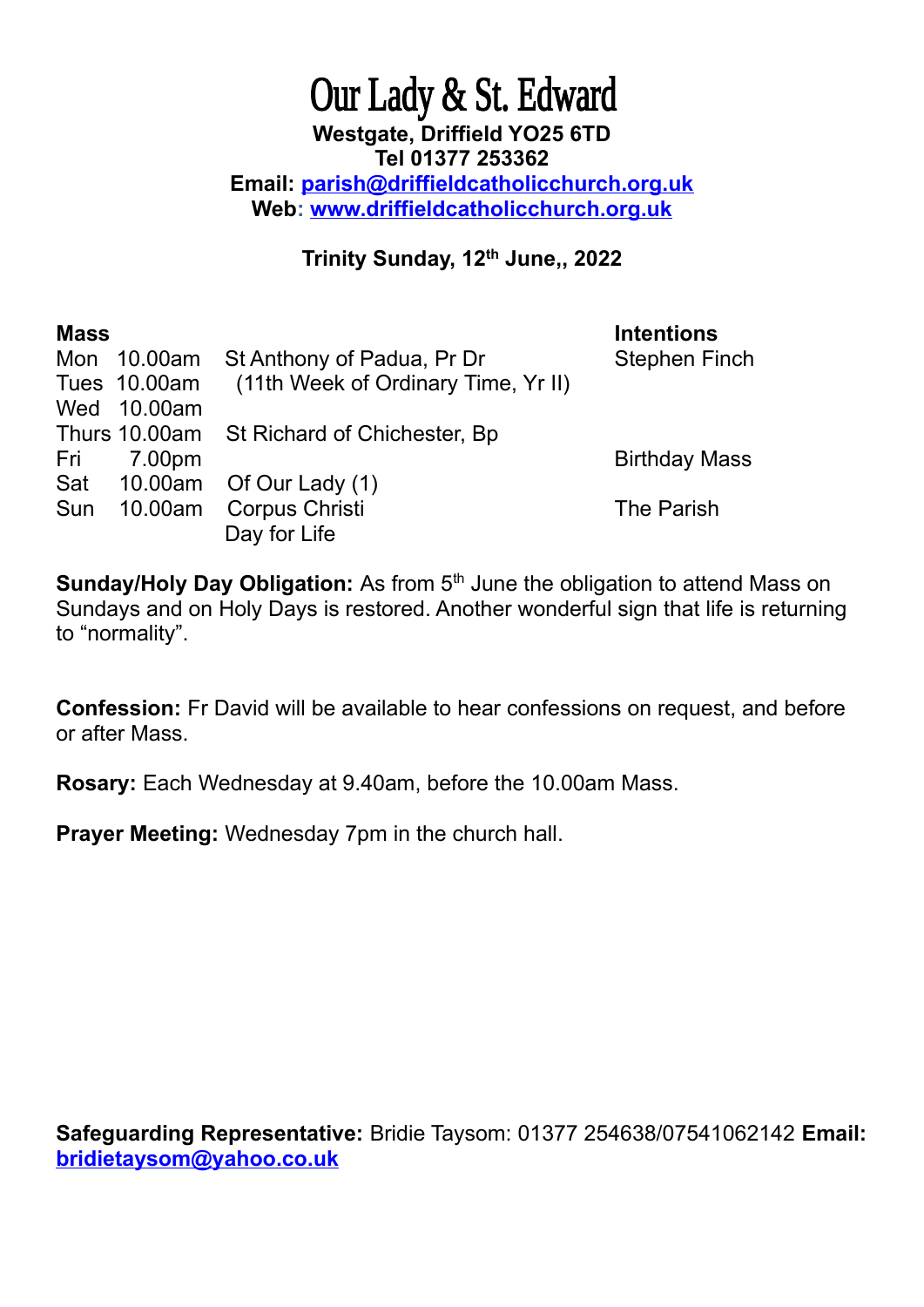## Our Lady & St. Edward **Westgate, Driffield YO25 6TD Tel 01377 253362 Email: [parish@driffieldcatholicchurch.org.uk](mailto:parish@driffieldcatholicchurch.org.uk) Web: [www.driffieldcatholicchurch.org.uk](http://www.driffieldcatholicchurch.org.uk/)**

## **Trinity Sunday, 12th June,, 2022**

| <b>Mass</b> |             |                                                  | <b>Intentions</b>    |
|-------------|-------------|--------------------------------------------------|----------------------|
|             |             | Mon 10.00am St Anthony of Padua, Pr Dr           | <b>Stephen Finch</b> |
|             |             | Tues 10.00am (11th Week of Ordinary Time, Yr II) |                      |
|             | Wed 10.00am |                                                  |                      |
|             |             | Thurs 10.00am St Richard of Chichester, Bp       |                      |
| Fri         | 7.00pm      |                                                  | <b>Birthday Mass</b> |
|             |             | Sat 10.00am Of Our Lady (1)                      |                      |
| Sun         |             | 10.00am Corpus Christi                           | The Parish           |
|             |             | Day for Life                                     |                      |

**Sunday/Holy Day Obligation:** As from 5<sup>th</sup> June the obligation to attend Mass on Sundays and on Holy Days is restored. Another wonderful sign that life is returning to "normality".

**Confession:** Fr David will be available to hear confessions on request, and before or after Mass.

**Rosary:** Each Wednesday at 9.40am, before the 10.00am Mass.

**Prayer Meeting:** Wednesday 7pm in the church hall.

**Safeguarding Representative:** Bridie Taysom: 01377 254638/07541062142 **Email: [bridietaysom@yahoo.co.uk](mailto:bridietaysom@yaho.co.uk)**